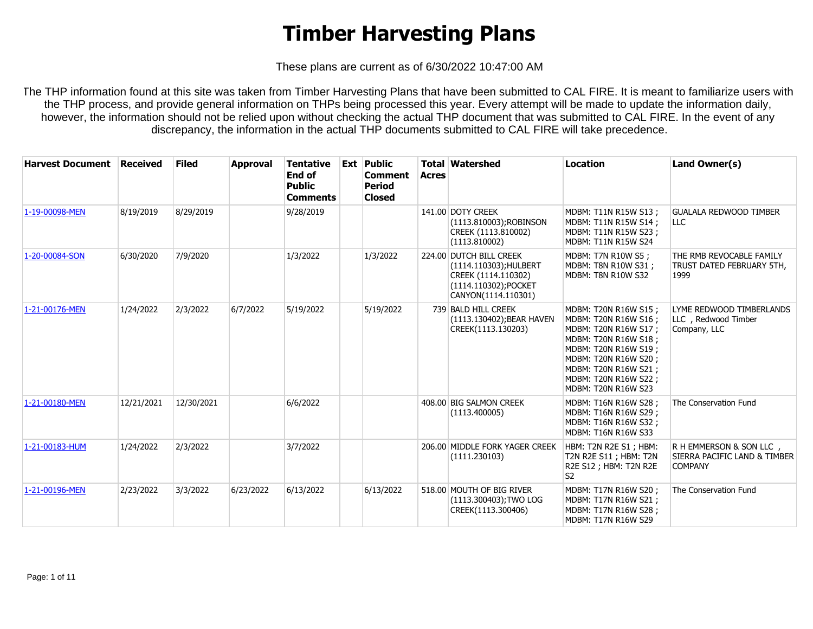These plans are current as of 6/30/2022 10:47:00 AM

The THP information found at this site was taken from Timber Harvesting Plans that have been submitted to CAL FIRE. It is meant to familiarize users with the THP process, and provide general information on THPs being processed this year. Every attempt will be made to update the information daily, however, the information should not be relied upon without checking the actual THP document that was submitted to CAL FIRE. In the event of any discrepancy, the information in the actual THP documents submitted to CAL FIRE will take precedence.

| <b>Harvest Document Received</b> |            | <b>Filed</b> | <b>Approval</b> | <b>Tentative</b><br>End of<br><b>Public</b><br><b>Comments</b> | <b>Ext Public</b><br><b>Comment</b><br><b>Period</b><br><b>Closed</b> | <b>Acres</b> | <b>Total Watershed</b>                                                                                                  | <b>Location</b>                                                                                                                                                                                                                  | Land Owner(s)                                                             |
|----------------------------------|------------|--------------|-----------------|----------------------------------------------------------------|-----------------------------------------------------------------------|--------------|-------------------------------------------------------------------------------------------------------------------------|----------------------------------------------------------------------------------------------------------------------------------------------------------------------------------------------------------------------------------|---------------------------------------------------------------------------|
| 1-19-00098-MEN                   | 8/19/2019  | 8/29/2019    |                 | 9/28/2019                                                      |                                                                       |              | 141.00 DOTY CREEK<br>(1113.810003);ROBINSON<br>CREEK (1113.810002)<br>(1113.810002)                                     | MDBM: T11N R15W S13;<br>MDBM: T11N R15W S14;<br>MDBM: T11N R15W S23;<br><b>MDBM: T11N R15W S24</b>                                                                                                                               | <b>GUALALA REDWOOD TIMBER</b><br>LLC                                      |
| 1-20-00084-SON                   | 6/30/2020  | 7/9/2020     |                 | 1/3/2022                                                       | 1/3/2022                                                              |              | 224.00 DUTCH BILL CREEK<br>(1114.110303); HULBERT<br>CREEK (1114.110302)<br>(1114.110302);POCKET<br>CANYON(1114.110301) | MDBM: T7N R10W S5 ;<br>MDBM: T8N R10W S31 ;<br><b>MDBM: T8N R10W S32</b>                                                                                                                                                         | THE RMB REVOCABLE FAMILY<br>TRUST DATED FEBRUARY 5TH,<br>1999             |
| 1-21-00176-MEN                   | 1/24/2022  | 2/3/2022     | 6/7/2022        | 5/19/2022                                                      | 5/19/2022                                                             |              | 739 BALD HILL CREEK<br>(1113.130402); BEAR HAVEN<br>CREEK(1113.130203)                                                  | MDBM: T20N R16W S15 ;<br>MDBM: T20N R16W S16 ;<br>MDBM: T20N R16W S17 ;<br>MDBM: T20N R16W S18 ;<br>MDBM: T20N R16W S19 ;<br>MDBM: T20N R16W S20;<br>MDBM: T20N R16W S21;<br>MDBM: T20N R16W S22 ;<br><b>MDBM: T20N R16W S23</b> | LYME REDWOOD TIMBERLANDS<br>LLC, Redwood Timber<br>Company, LLC           |
| 1-21-00180-MEN                   | 12/21/2021 | 12/30/2021   |                 | 6/6/2022                                                       |                                                                       |              | 408.00 BIG SALMON CREEK<br>(1113.400005)                                                                                | MDBM: T16N R16W S28 ;<br>MDBM: T16N R16W S29 ;<br>MDBM: T16N R16W S32 ;<br><b>MDBM: T16N R16W S33</b>                                                                                                                            | The Conservation Fund                                                     |
| 1-21-00183-HUM                   | 1/24/2022  | 2/3/2022     |                 | 3/7/2022                                                       |                                                                       |              | 206.00 MIDDLE FORK YAGER CREEK<br>(1111.230103)                                                                         | HBM: T2N R2E S1; HBM:<br>T2N R2E S11 ; HBM: T2N<br>R2E S12 ; HBM: T2N R2E<br>S <sub>2</sub>                                                                                                                                      | R H EMMERSON & SON LLC,<br>SIERRA PACIFIC LAND & TIMBER<br><b>COMPANY</b> |
| 1-21-00196-MEN                   | 2/23/2022  | 3/3/2022     | 6/23/2022       | 6/13/2022                                                      | 6/13/2022                                                             |              | 518.00 MOUTH OF BIG RIVER<br>(1113.300403); TWO LOG<br>CREEK(1113.300406)                                               | MDBM: T17N R16W S20;<br>MDBM: T17N R16W S21;<br>MDBM: T17N R16W S28;<br>MDBM: T17N R16W S29                                                                                                                                      | The Conservation Fund                                                     |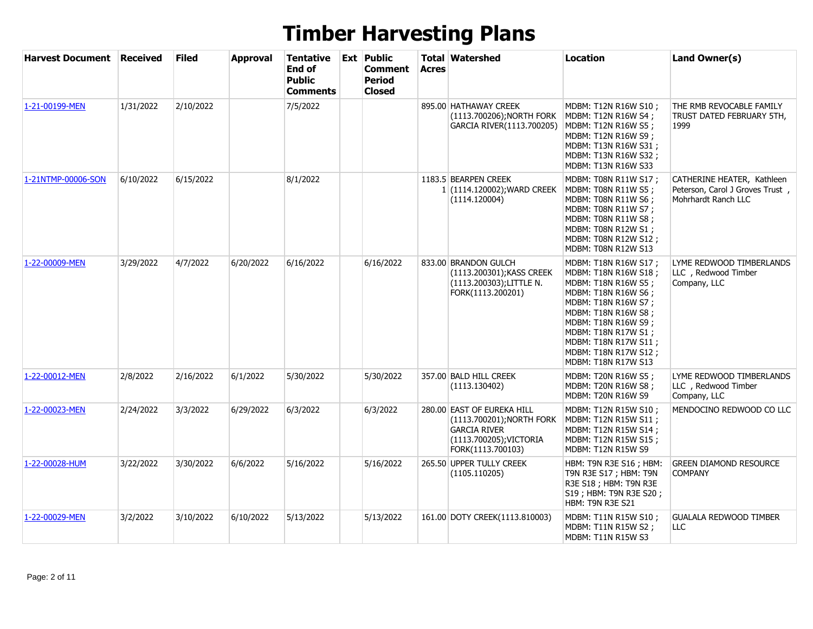| <b>Harvest Document</b> | <b>Received</b> | <b>Filed</b> | <b>Approval</b> | <b>Tentative</b><br>End of<br><b>Public</b><br><b>Comments</b> | <b>Ext Public</b><br>Comment<br>Period<br><b>Closed</b> | <b>Acres</b> | <b>Total Watershed</b>                                                                                                         | <b>Location</b>                                                                                                                                                                                                                                                 | Land Owner(s)                                                                        |
|-------------------------|-----------------|--------------|-----------------|----------------------------------------------------------------|---------------------------------------------------------|--------------|--------------------------------------------------------------------------------------------------------------------------------|-----------------------------------------------------------------------------------------------------------------------------------------------------------------------------------------------------------------------------------------------------------------|--------------------------------------------------------------------------------------|
| 1-21-00199-MEN          | 1/31/2022       | 2/10/2022    |                 | 7/5/2022                                                       |                                                         |              | 895.00 HATHAWAY CREEK<br>(1113.700206); NORTH FORK<br>GARCIA RIVER(1113.700205)                                                | MDBM: T12N R16W S10;<br>MDBM: T12N R16W S4;<br>MDBM: T12N R16W S5;<br>MDBM: T12N R16W S9;<br>MDBM: T13N R16W S31;<br>MDBM: T13N R16W S32;<br>MDBM: T13N R16W S33                                                                                                | THE RMB REVOCABLE FAMILY<br>TRUST DATED FEBRUARY 5TH,<br>1999                        |
| 1-21NTMP-00006-SON      | 6/10/2022       | 6/15/2022    |                 | 8/1/2022                                                       |                                                         |              | 1183.5 BEARPEN CREEK<br>1 (1114.120002); WARD CREEK<br>(1114.120004)                                                           | MDBM: T08N R11W S17 ;<br>MDBM: T08N R11W S5;<br>MDBM: T08N R11W S6 ;<br>MDBM: T08N R11W S7;<br>MDBM: T08N R11W S8;<br>MDBM: T08N R12W S1;<br>MDBM: T08N R12W S12;<br>MDBM: T08N R12W S13                                                                        | CATHERINE HEATER, Kathleen<br>Peterson, Carol J Groves Trust,<br>Mohrhardt Ranch LLC |
| 1-22-00009-MEN          | 3/29/2022       | 4/7/2022     | 6/20/2022       | 6/16/2022                                                      | 6/16/2022                                               |              | 833.00 BRANDON GULCH<br>(1113.200301); KASS CREEK<br>(1113.200303);LITTLE N.<br>FORK(1113.200201)                              | MDBM: T18N R16W S17;<br>MDBM: T18N R16W S18 ;<br>MDBM: T18N R16W S5;<br>MDBM: T18N R16W S6;<br>MDBM: T18N R16W S7;<br>MDBM: T18N R16W S8;<br>MDBM: T18N R16W S9;<br>MDBM: T18N R17W S1;<br>MDBM: T18N R17W S11 ;<br>MDBM: T18N R17W S12;<br>MDBM: T18N R17W S13 | LYME REDWOOD TIMBERLANDS<br>LLC, Redwood Timber<br>Company, LLC                      |
| 1-22-00012-MEN          | 2/8/2022        | 2/16/2022    | 6/1/2022        | 5/30/2022                                                      | 5/30/2022                                               |              | 357.00 BALD HILL CREEK<br>(1113.130402)                                                                                        | MDBM: T20N R16W S5;<br>MDBM: T20N R16W S8;<br>MDBM: T20N R16W S9                                                                                                                                                                                                | LYME REDWOOD TIMBERLANDS<br>LLC, Redwood Timber<br>Company, LLC                      |
| 1-22-00023-MEN          | 2/24/2022       | 3/3/2022     | 6/29/2022       | 6/3/2022                                                       | 6/3/2022                                                |              | 280.00 EAST OF EUREKA HILL<br>(1113.700201); NORTH FORK<br><b>GARCIA RIVER</b><br>(1113.700205); VICTORIA<br>FORK(1113.700103) | MDBM: T12N R15W S10;<br>MDBM: T12N R15W S11;<br>MDBM: T12N R15W S14 ;<br>MDBM: T12N R15W S15;<br>MDBM: T12N R15W S9                                                                                                                                             | MENDOCINO REDWOOD CO LLC                                                             |
| 1-22-00028-HUM          | 3/22/2022       | 3/30/2022    | 6/6/2022        | 5/16/2022                                                      | 5/16/2022                                               |              | 265.50 UPPER TULLY CREEK<br>(1105.110205)                                                                                      | HBM: T9N R3E S16 ; HBM:<br>t9n r3e S17 ; HBM: T9n<br>R3E S18 ; HBM: T9N R3E<br>S19 ; HBM: T9N R3E S20 ;<br>HBM: T9N R3E S21                                                                                                                                     | <b>GREEN DIAMOND RESOURCE</b><br><b>COMPANY</b>                                      |
| 1-22-00029-MEN          | 3/2/2022        | 3/10/2022    | 6/10/2022       | 5/13/2022                                                      | 5/13/2022                                               |              | 161.00 DOTY CREEK(1113.810003)                                                                                                 | MDBM: T11N R15W S10;<br>MDBM: T11N R15W S2;<br>MDBM: T11N R15W S3                                                                                                                                                                                               | <b>GUALALA REDWOOD TIMBER</b><br><b>LLC</b>                                          |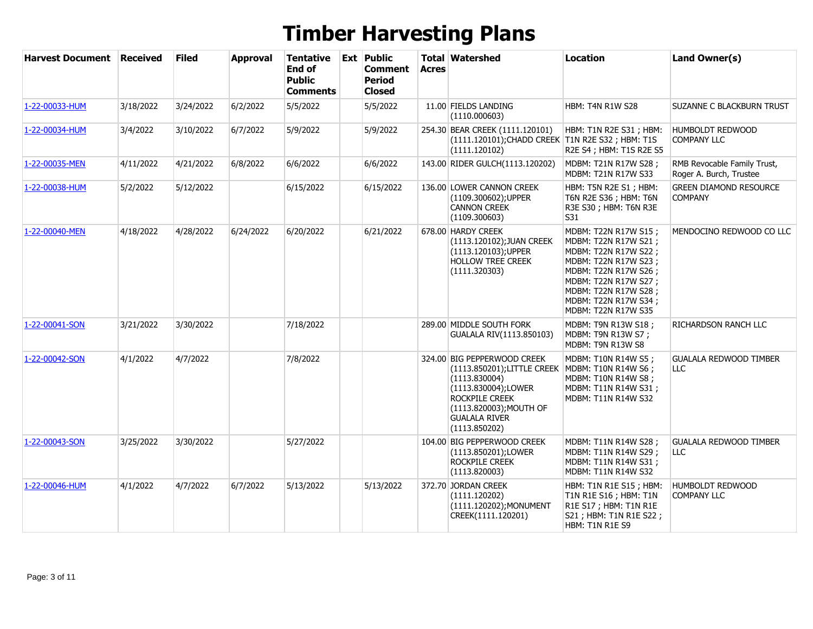| <b>Harvest Document</b> | <b>Received</b> | <b>Filed</b> | <b>Approval</b> | <b>Tentative</b><br><b>End of</b><br><b>Public</b><br>Comments | <b>Ext Public</b><br><b>Comment</b><br><b>Period</b><br><b>Closed</b> | <b>Acres</b> | <b>Total Watershed</b>                                                                                                                                                                  | <b>Location</b>                                                                                                                                                                                                       | Land Owner(s)                                          |
|-------------------------|-----------------|--------------|-----------------|----------------------------------------------------------------|-----------------------------------------------------------------------|--------------|-----------------------------------------------------------------------------------------------------------------------------------------------------------------------------------------|-----------------------------------------------------------------------------------------------------------------------------------------------------------------------------------------------------------------------|--------------------------------------------------------|
| 1-22-00033-HUM          | 3/18/2022       | 3/24/2022    | 6/2/2022        | 5/5/2022                                                       | 5/5/2022                                                              |              | 11.00 FIELDS LANDING<br>(1110.000603)                                                                                                                                                   | <b>HBM: T4N R1W S28</b>                                                                                                                                                                                               | SUZANNE C BLACKBURN TRUST                              |
| 1-22-00034-HUM          | 3/4/2022        | 3/10/2022    | 6/7/2022        | 5/9/2022                                                       | 5/9/2022                                                              |              | 254.30 BEAR CREEK (1111.120101)<br>(1111.120101); CHADD CREEK T1N R2E S32; HBM: T1S<br>(1111.120102)                                                                                    | HBM: T1N R2E S31; HBM:<br>R2E S4 ; HBM: T1S R2E S5                                                                                                                                                                    | HUMBOLDT REDWOOD<br><b>COMPANY LLC</b>                 |
| 1-22-00035-MEN          | 4/11/2022       | 4/21/2022    | 6/8/2022        | 6/6/2022                                                       | 6/6/2022                                                              |              | 143.00 RIDER GULCH(1113.120202)                                                                                                                                                         | MDBM: T21N R17W S28;<br>MDBM: T21N R17W S33                                                                                                                                                                           | RMB Revocable Family Trust,<br>Roger A. Burch, Trustee |
| 1-22-00038-HUM          | 5/2/2022        | 5/12/2022    |                 | 6/15/2022                                                      | 6/15/2022                                                             |              | 136.00 LOWER CANNON CREEK<br>(1109.300602); UPPER<br><b>CANNON CREEK</b><br>(1109.300603)                                                                                               | HBM: T5N R2E S1; HBM:<br>T6N R2E S36 ; HBM: T6N<br>R3E S30 ; HBM: T6N R3E<br>S31                                                                                                                                      | <b>GREEN DIAMOND RESOURCE</b><br><b>COMPANY</b>        |
| 1-22-00040-MEN          | 4/18/2022       | 4/28/2022    | 6/24/2022       | 6/20/2022                                                      | 6/21/2022                                                             |              | 678.00 HARDY CREEK<br>(1113.120102); JUAN CREEK<br>(1113.120103); UPPER<br>HOLLOW TREE CREEK<br>(1111.320303)                                                                           | MDBM: T22N R17W S15;<br>MDBM: T22N R17W S21 ;<br>MDBM: T22N R17W S22 ;<br>MDBM: T22N R17W S23;<br>MDBM: T22N R17W S26;<br>MDBM: T22N R17W S27;<br>MDBM: T22N R17W S28;<br>MDBM: T22N R17W S34;<br>MDBM: T22N R17W S35 | MENDOCINO REDWOOD CO LLC                               |
| 1-22-00041-SON          | 3/21/2022       | 3/30/2022    |                 | 7/18/2022                                                      |                                                                       |              | 289.00 MIDDLE SOUTH FORK<br>GUALALA RIV(1113.850103)                                                                                                                                    | MDBM: T9N R13W S18;<br>MDBM: T9N R13W S7;<br>MDBM: T9N R13W S8                                                                                                                                                        | RICHARDSON RANCH LLC                                   |
| 1-22-00042-SON          | 4/1/2022        | 4/7/2022     |                 | 7/8/2022                                                       |                                                                       |              | 324.00 BIG PEPPERWOOD CREEK<br>(1113.850201);LITTLE CREEK<br>(1113.830004)<br>(1113.830004);LOWER<br>ROCKPILE CREEK<br>(1113.820003); MOUTH OF<br><b>GUALALA RIVER</b><br>(1113.850202) | MDBM: T10N R14W S5;<br>MDBM: T10N R14W S6;<br>MDBM: T10N R14W S8 ;<br>MDBM: T11N R14W S31 ;<br>MDBM: T11N R14W S32                                                                                                    | <b>GUALALA REDWOOD TIMBER</b><br><b>LLC</b>            |
| 1-22-00043-SON          | 3/25/2022       | 3/30/2022    |                 | 5/27/2022                                                      |                                                                       |              | 104.00 BIG PEPPERWOOD CREEK<br>(1113.850201);LOWER<br>ROCKPILE CREEK<br>(1113.820003)                                                                                                   | MDBM: T11N R14W S28;<br>MDBM: T11N R14W S29;<br>MDBM: T11N R14W S31 ;<br>MDBM: T11N R14W S32                                                                                                                          | <b>GUALALA REDWOOD TIMBER</b><br><b>LLC</b>            |
| 1-22-00046-HUM          | 4/1/2022        | 4/7/2022     | 6/7/2022        | 5/13/2022                                                      | 5/13/2022                                                             |              | 372.70 JORDAN CREEK<br>(1111.120202)<br>(1111.120202); MONUMENT<br>CREEK(1111.120201)                                                                                                   | HBM: T1N R1E S15; HBM:<br>T1N R1E S16 ; HBM: T1N<br>R1E S17 ; HBM: T1N R1E<br>S21 ; HBM: T1N R1E S22 ;<br>HBM: T1N R1E S9                                                                                             | HUMBOLDT REDWOOD<br><b>COMPANY LLC</b>                 |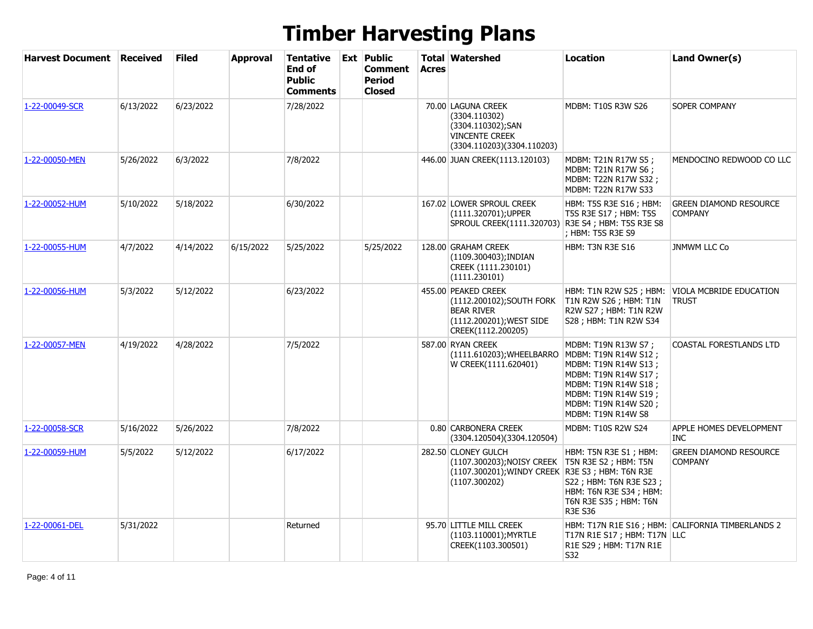| <b>Harvest Document Received</b> |           | <b>Filed</b> | <b>Approval</b> | Tentative<br>End of<br><b>Public</b><br><b>Comments</b> | <b>Ext Public</b><br>Comment<br><b>Period</b><br><b>Closed</b> | <b>Acres</b> | <b>Total Watershed</b>                                                                                                  | <b>Location</b>                                                                                                                                                                                     | Land Owner(s)                                     |
|----------------------------------|-----------|--------------|-----------------|---------------------------------------------------------|----------------------------------------------------------------|--------------|-------------------------------------------------------------------------------------------------------------------------|-----------------------------------------------------------------------------------------------------------------------------------------------------------------------------------------------------|---------------------------------------------------|
| 1-22-00049-SCR                   | 6/13/2022 | 6/23/2022    |                 | 7/28/2022                                               |                                                                |              | 70.00 LAGUNA CREEK<br>(3304.110302)<br>(3304.110302);SAN<br><b>VINCENTE CREEK</b><br>(3304.110203)(3304.110203)         | <b>MDBM: T10S R3W S26</b>                                                                                                                                                                           | SOPER COMPANY                                     |
| 1-22-00050-MEN                   | 5/26/2022 | 6/3/2022     |                 | 7/8/2022                                                |                                                                |              | 446.00 JUAN CREEK(1113.120103)                                                                                          | MDBM: T21N R17W S5;<br>MDBM: T21N R17W S6;<br>MDBM: T22N R17W S32;<br><b>MDBM: T22N R17W S33</b>                                                                                                    | MENDOCINO REDWOOD CO LLC                          |
| 1-22-00052-HUM                   | 5/10/2022 | 5/18/2022    |                 | 6/30/2022                                               |                                                                |              | 167.02 LOWER SPROUL CREEK<br>(1111.320701);UPPER<br>SPROUL CREEK(1111.320703)                                           | HBM: T5S R3E S16 ; HBM:<br>T5S R3E S17 ; HBM: T5S<br>R3E S4 ; HBM: T5S R3E S8<br>; HBM: T5S R3E S9                                                                                                  | <b>GREEN DIAMOND RESOURCE</b><br><b>COMPANY</b>   |
| 1-22-00055-HUM                   | 4/7/2022  | 4/14/2022    | 6/15/2022       | 5/25/2022                                               | 5/25/2022                                                      |              | 128.00 GRAHAM CREEK<br>(1109.300403); INDIAN<br>CREEK (1111.230101)<br>(1111.230101)                                    | <b>HBM: T3N R3E S16</b>                                                                                                                                                                             | <b>JNMWM LLC Co</b>                               |
| 1-22-00056-HUM                   | 5/3/2022  | 5/12/2022    |                 | 6/23/2022                                               |                                                                |              | 455.00 PEAKED CREEK<br>(1112.200102); SOUTH FORK<br><b>BEAR RIVER</b><br>(1112.200201); WEST SIDE<br>CREEK(1112.200205) | HBM: T1N R2W S25; HBM:<br>T1N R2W S26 ; HBM: T1N<br>R2W S27 ; HBM: T1N R2W<br>S28 ; HBM: T1N R2W S34                                                                                                | VIOLA MCBRIDE EDUCATION<br><b>TRUST</b>           |
| 1-22-00057-MEN                   | 4/19/2022 | 4/28/2022    |                 | 7/5/2022                                                |                                                                |              | 587.00 RYAN CREEK<br>(1111.610203); WHEELBARRO<br>W CREEK(1111.620401)                                                  | MDBM: T19N R13W S7 ;<br>MDBM: T19N R14W S12 ;<br>MDBM: T19N R14W S13;<br>MDBM: T19N R14W S17 ;<br>MDBM: T19N R14W S18;<br>MDBM: T19N R14W S19;<br>MDBM: T19N R14W S20;<br><b>MDBM: T19N R14W S8</b> | COASTAL FORESTLANDS LTD                           |
| 1-22-00058-SCR                   | 5/16/2022 | 5/26/2022    |                 | 7/8/2022                                                |                                                                |              | 0.80 CARBONERA CREEK<br>(3304.120504)(3304.120504)                                                                      | MDBM: T10S R2W S24                                                                                                                                                                                  | APPLE HOMES DEVELOPMENT<br><b>INC</b>             |
| 1-22-00059-HUM                   | 5/5/2022  | 5/12/2022    |                 | 6/17/2022                                               |                                                                |              | 282.50 CLONEY GULCH<br>(1107.300203);NOISY CREEK<br>(1107.300201); WINDY CREEK R3E S3; HBM: T6N R3E<br>(1107.300202)    | HBM: T5N R3E S1 ; HBM:<br>T5N R3E S2; HBM: T5N<br>S22 ; HBM: T6N R3E S23 ;<br>HBM: T6N R3E S34; HBM:<br>T6N R3E S35; HBM: T6N<br><b>R3E S36</b>                                                     | <b>GREEN DIAMOND RESOURCE</b><br><b>COMPANY</b>   |
| 1-22-00061-DEL                   | 5/31/2022 |              |                 | Returned                                                |                                                                |              | 95.70 LITTLE MILL CREEK<br>(1103.110001); MYRTLE<br>CREEK(1103.300501)                                                  | T17N R1E S17 ; HBM: T17N   LLC<br>R1E S29 ; HBM: T17N R1E<br>S32                                                                                                                                    | HBM: T17N R1E S16 ; HBM: CALIFORNIA TIMBERLANDS 2 |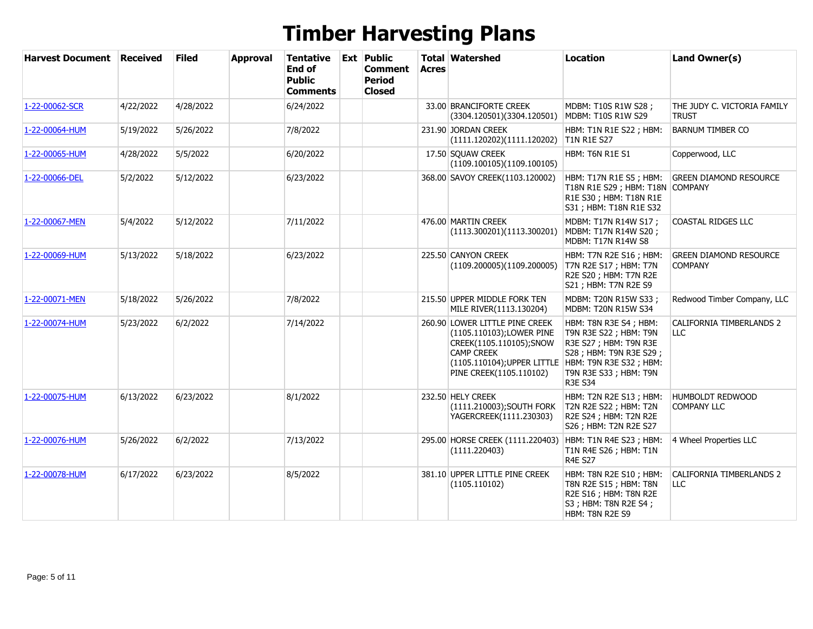| <b>Harvest Document</b> | <b>Received</b> | <b>Filed</b> | <b>Approval</b> | Tentative<br><b>End of</b><br><b>Public</b><br><b>Comments</b> | <b>Ext Public</b><br><b>Comment</b><br><b>Period</b><br><b>Closed</b> | <b>Acres</b> | <b>Total Watershed</b>                                                                                                                                                                        | Location                                                                                                                                         | Land Owner(s)                                   |
|-------------------------|-----------------|--------------|-----------------|----------------------------------------------------------------|-----------------------------------------------------------------------|--------------|-----------------------------------------------------------------------------------------------------------------------------------------------------------------------------------------------|--------------------------------------------------------------------------------------------------------------------------------------------------|-------------------------------------------------|
| 1-22-00062-SCR          | 4/22/2022       | 4/28/2022    |                 | 6/24/2022                                                      |                                                                       |              | 33.00 BRANCIFORTE CREEK<br>(3304.120501)(3304.120501)                                                                                                                                         | MDBM: T10S R1W S28;<br>MDBM: T10S R1W S29                                                                                                        | THE JUDY C. VICTORIA FAMILY<br><b>TRUST</b>     |
| 1-22-00064-HUM          | 5/19/2022       | 5/26/2022    |                 | 7/8/2022                                                       |                                                                       |              | 231.90 JORDAN CREEK<br>(1111.120202)(1111.120202)                                                                                                                                             | HBM: T1N R1E S22; HBM:<br><b>T1N R1E S27</b>                                                                                                     | <b>BARNUM TIMBER CO</b>                         |
| 1-22-00065-HUM          | 4/28/2022       | 5/5/2022     |                 | 6/20/2022                                                      |                                                                       |              | 17.50 SQUAW CREEK<br>(1109.100105)(1109.100105)                                                                                                                                               | HBM: T6N R1E S1                                                                                                                                  | Copperwood, LLC                                 |
| 1-22-00066-DEL          | 5/2/2022        | 5/12/2022    |                 | 6/23/2022                                                      |                                                                       |              | 368.00 SAVOY CREEK(1103.120002)                                                                                                                                                               | HBM: T17N R1E S5; HBM:<br>T18N R1E S29 ; HBM: T18N COMPANY<br>R1E S30 ; HBM: T18N R1E<br>S31 ; HBM: T18N R1E S32                                 | <b>GREEN DIAMOND RESOURCE</b>                   |
| 1-22-00067-MEN          | 5/4/2022        | 5/12/2022    |                 | 7/11/2022                                                      |                                                                       |              | 476.00 MARTIN CREEK<br>(1113.300201)(1113.300201)                                                                                                                                             | MDBM: T17N R14W S17;<br>MDBM: T17N R14W S20;<br>MDBM: T17N R14W S8                                                                               | COASTAL RIDGES LLC                              |
| 1-22-00069-HUM          | 5/13/2022       | 5/18/2022    |                 | 6/23/2022                                                      |                                                                       |              | 225.50 CANYON CREEK<br>(1109.200005)(1109.200005)                                                                                                                                             | HBM: T7N R2E S16; HBM:<br>T7N R2E S17; HBM: T7N<br>R2E S20 ; HBM: T7N R2E<br>S21 ; HBM: T7N R2E S9                                               | <b>GREEN DIAMOND RESOURCE</b><br><b>COMPANY</b> |
| 1-22-00071-MEN          | 5/18/2022       | 5/26/2022    |                 | 7/8/2022                                                       |                                                                       |              | 215.50 UPPER MIDDLE FORK TEN<br>MILE RIVER(1113.130204)                                                                                                                                       | MDBM: T20N R15W S33;<br>MDBM: T20N R15W S34                                                                                                      | Redwood Timber Company, LLC                     |
| 1-22-00074-HUM          | 5/23/2022       | 6/2/2022     |                 | 7/14/2022                                                      |                                                                       |              | 260.90 LOWER LITTLE PINE CREEK<br>(1105.110103); LOWER PINE<br>CREEK(1105.110105);SNOW<br><b>CAMP CREEK</b><br>(1105.110104); UPPER LITTLE HBM: T9N R3E S32 ; HBM:<br>PINE CREEK(1105.110102) | HBM: T8N R3E S4: HBM:<br>T9N R3E S22; HBM: T9N<br>R3E S27 ; HBM: T9N R3E<br>S28 ; HBM: T9N R3E S29 ;<br>T9N R3E S33 ; HBM: T9N<br><b>R3E S34</b> | <b>CALIFORNIA TIMBERLANDS 2</b><br><b>LLC</b>   |
| 1-22-00075-HUM          | 6/13/2022       | 6/23/2022    |                 | 8/1/2022                                                       |                                                                       |              | 232.50 HELY CREEK<br>(1111.210003); SOUTH FORK<br>YAGERCREEK(1111.230303)                                                                                                                     | HBM: T2N R2E S13; HBM:<br>T2N R2E S22; HBM: T2N<br>R2E S24 ; HBM: T2N R2E<br>S26 ; HBM: T2N R2E S27                                              | <b>HUMBOLDT REDWOOD</b><br><b>COMPANY LLC</b>   |
| 1-22-00076-HUM          | 5/26/2022       | 6/2/2022     |                 | 7/13/2022                                                      |                                                                       |              | 295.00 HORSE CREEK (1111.220403)<br>(1111.220403)                                                                                                                                             | HBM: T1N R4E S23; HBM:<br>T1N R4E S26; HBM: T1N<br><b>R4E S27</b>                                                                                | 4 Wheel Properties LLC                          |
| 1-22-00078-HUM          | 6/17/2022       | 6/23/2022    |                 | 8/5/2022                                                       |                                                                       |              | 381.10 UPPER LITTLE PINE CREEK<br>(1105.110102)                                                                                                                                               | HBM: T8N R2E S10; HBM:<br>T8N R2E S15 ; HBM: T8N<br>R2E S16 ; HBM: T8N R2E<br>S3 ; HBM: T8N R2E S4 ;<br>HBM: T8N R2E S9                          | <b>CALIFORNIA TIMBERLANDS 2</b><br>LLC          |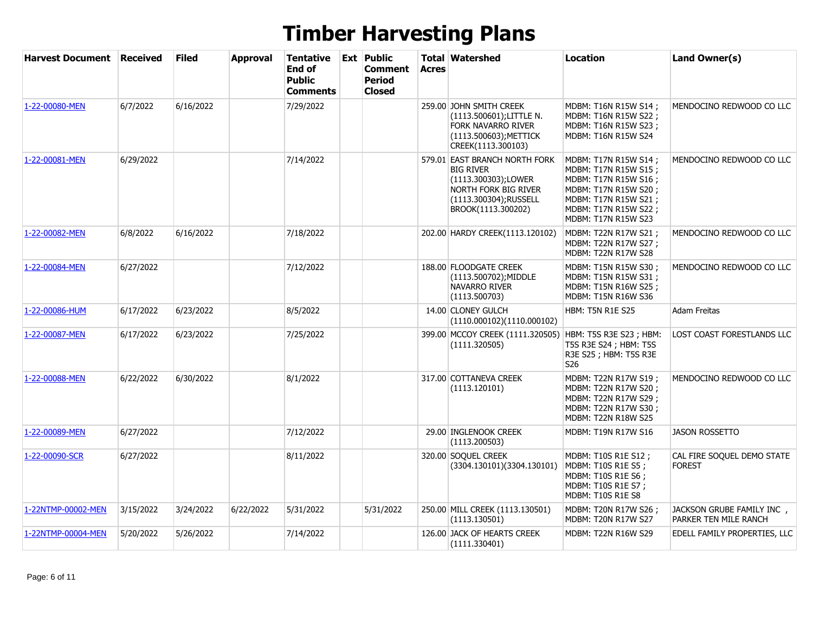| <b>Harvest Document Received</b> |           | <b>Filed</b> | <b>Approval</b> | <b>Tentative</b><br>End of<br><b>Public</b><br><b>Comments</b> | <b>Ext</b> Public<br>Comment<br><b>Period</b><br><b>Closed</b> | <b>Acres</b> | <b>Total Watershed</b>                                                                                                                          | <b>Location</b>                                                                                                                                                        | Land Owner(s)                                       |
|----------------------------------|-----------|--------------|-----------------|----------------------------------------------------------------|----------------------------------------------------------------|--------------|-------------------------------------------------------------------------------------------------------------------------------------------------|------------------------------------------------------------------------------------------------------------------------------------------------------------------------|-----------------------------------------------------|
| 1-22-00080-MEN                   | 6/7/2022  | 6/16/2022    |                 | 7/29/2022                                                      |                                                                |              | 259.00 JOHN SMITH CREEK<br>(1113.500601);LITTLE N.<br>FORK NAVARRO RIVER<br>(1113.500603); METTICK<br>CREEK(1113.300103)                        | MDBM: T16N R15W S14;<br>MDBM: T16N R15W S22;<br>MDBM: T16N R15W S23;<br>MDBM: T16N R15W S24                                                                            | MENDOCINO REDWOOD CO LLC                            |
| 1-22-00081-MEN                   | 6/29/2022 |              |                 | 7/14/2022                                                      |                                                                |              | 579.01 EAST BRANCH NORTH FORK<br><b>BIG RIVER</b><br>(1113.300303);LOWER<br>NORTH FORK BIG RIVER<br>(1113.300304);RUSSELL<br>BROOK(1113.300202) | MDBM: T17N R15W S14 ;<br>MDBM: T17N R15W S15;<br>MDBM: T17N R15W S16 ;<br>MDBM: T17N R15W S20;<br>MDBM: T17N R15W S21 ;<br>MDBM: T17N R15W S22;<br>MDBM: T17N R15W S23 | MENDOCINO REDWOOD CO LLC                            |
| 1-22-00082-MEN                   | 6/8/2022  | 6/16/2022    |                 | 7/18/2022                                                      |                                                                |              | 202.00 HARDY CREEK(1113.120102)                                                                                                                 | MDBM: T22N R17W S21;<br>MDBM: T22N R17W S27;<br>MDBM: T22N R17W S28                                                                                                    | MENDOCINO REDWOOD CO LLC                            |
| 1-22-00084-MEN                   | 6/27/2022 |              |                 | 7/12/2022                                                      |                                                                |              | 188.00 FLOODGATE CREEK<br>(1113.500702); MIDDLE<br>NAVARRO RIVER<br>(1113.500703)                                                               | MDBM: T15N R15W S30;<br>MDBM: T15N R15W S31;<br>MDBM: T15N R16W S25;<br>MDBM: T15N R16W S36                                                                            | MENDOCINO REDWOOD CO LLC                            |
| 1-22-00086-HUM                   | 6/17/2022 | 6/23/2022    |                 | 8/5/2022                                                       |                                                                |              | 14.00 CLONEY GULCH<br>(1110.000102)(1110.000102)                                                                                                | <b>HBM: T5N R1E S25</b>                                                                                                                                                | Adam Freitas                                        |
| 1-22-00087-MEN                   | 6/17/2022 | 6/23/2022    |                 | 7/25/2022                                                      |                                                                |              | 399.00 MCCOY CREEK (1111.320505)<br>(1111.320505)                                                                                               | HBM: T5S R3E S23; HBM:<br>T5S R3E S24 ; HBM: T5S<br>R3E S25 ; HBM: T5S R3E<br>S <sub>26</sub>                                                                          | LOST COAST FORESTLANDS LLC                          |
| 1-22-00088-MEN                   | 6/22/2022 | 6/30/2022    |                 | 8/1/2022                                                       |                                                                |              | 317.00 COTTANEVA CREEK<br>(1113.120101)                                                                                                         | MDBM: T22N R17W S19 ;<br>MDBM: T22N R17W S20;<br>MDBM: T22N R17W S29;<br>MDBM: T22N R17W S30;<br>MDBM: T22N R18W S25                                                   | MENDOCINO REDWOOD CO LLC                            |
| 1-22-00089-MEN                   | 6/27/2022 |              |                 | 7/12/2022                                                      |                                                                |              | 29.00 INGLENOOK CREEK<br>(1113.200503)                                                                                                          | MDBM: T19N R17W S16                                                                                                                                                    | <b>JASON ROSSETTO</b>                               |
| 1-22-00090-SCR                   | 6/27/2022 |              |                 | 8/11/2022                                                      |                                                                |              | 320.00 SOQUEL CREEK<br>(3304.130101)(3304.130101)                                                                                               | MDBM: T10S R1E S12 ;<br>MDBM: T10S R1E S5;<br>MDBM: T10S R1E S6 ;<br>MDBM: T10S R1E S7;<br>MDBM: T10S R1E S8                                                           | CAL FIRE SOQUEL DEMO STATE<br><b>FOREST</b>         |
| 1-22NTMP-00002-MEN               | 3/15/2022 | 3/24/2022    | 6/22/2022       | 5/31/2022                                                      | 5/31/2022                                                      |              | 250.00 MILL CREEK (1113.130501)<br>(1113.130501)                                                                                                | MDBM: T20N R17W S26;<br>MDBM: T20N R17W S27                                                                                                                            | JACKSON GRUBE FAMILY INC ,<br>PARKER TEN MILE RANCH |
| 1-22NTMP-00004-MEN               | 5/20/2022 | 5/26/2022    |                 | 7/14/2022                                                      |                                                                |              | 126.00 JACK OF HEARTS CREEK<br>(1111.330401)                                                                                                    | MDBM: T22N R16W S29                                                                                                                                                    | EDELL FAMILY PROPERTIES, LLC                        |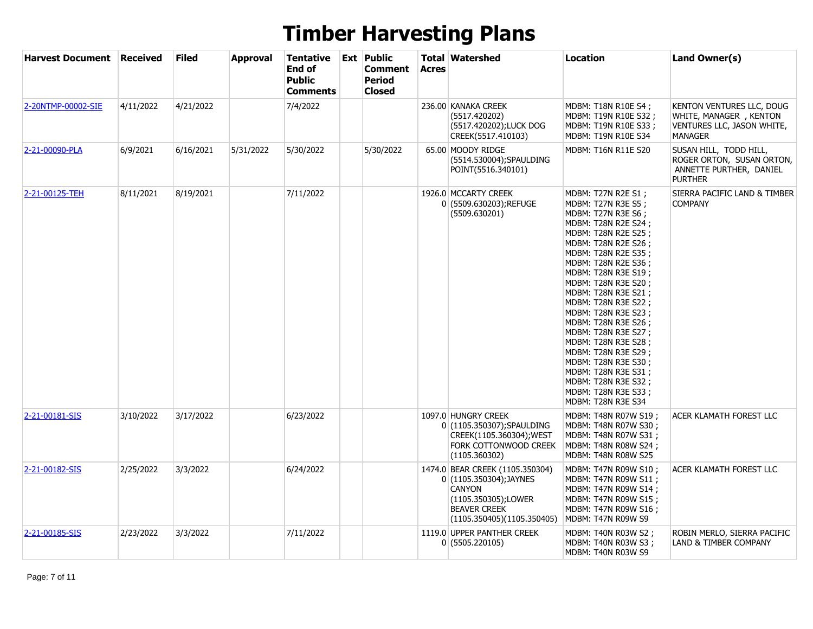| <b>Harvest Document Received</b> |           | <b>Filed</b> | <b>Approval</b> | Tentative<br>End of<br><b>Public</b><br><b>Comments</b> | <b>Ext</b> Public<br>Comment<br><b>Period</b><br><b>Closed</b> | Acres | <b>Total Watershed</b>                                                                                                                                  | Location                                                                                                                                                                                                                                                                                                                                                                                                                                                                                                                          | Land Owner(s)                                                                                       |
|----------------------------------|-----------|--------------|-----------------|---------------------------------------------------------|----------------------------------------------------------------|-------|---------------------------------------------------------------------------------------------------------------------------------------------------------|-----------------------------------------------------------------------------------------------------------------------------------------------------------------------------------------------------------------------------------------------------------------------------------------------------------------------------------------------------------------------------------------------------------------------------------------------------------------------------------------------------------------------------------|-----------------------------------------------------------------------------------------------------|
| 2-20NTMP-00002-SIE               | 4/11/2022 | 4/21/2022    |                 | 7/4/2022                                                |                                                                |       | 236.00 KANAKA CREEK<br>(5517.420202)<br>(5517.420202);LUCK DOG<br>CREEK(5517.410103)                                                                    | MDBM: T18N R10E S4;<br>MDBM: T19N R10E S32;<br>MDBM: T19N R10E S33;<br>MDBM: T19N R10E S34                                                                                                                                                                                                                                                                                                                                                                                                                                        | KENTON VENTURES LLC, DOUG<br>WHITE, MANAGER, KENTON<br>VENTURES LLC, JASON WHITE,<br><b>MANAGER</b> |
| 2-21-00090-PLA                   | 6/9/2021  | 6/16/2021    | 5/31/2022       | 5/30/2022                                               | 5/30/2022                                                      |       | 65.00 MOODY RIDGE<br>(5514.530004);SPAULDING<br>POINT(5516.340101)                                                                                      | MDBM: T16N R11E S20                                                                                                                                                                                                                                                                                                                                                                                                                                                                                                               | SUSAN HILL, TODD HILL,<br>ROGER ORTON, SUSAN ORTON,<br>ANNETTE PURTHER, DANIEL<br><b>PURTHER</b>    |
| 2-21-00125-TEH                   | 8/11/2021 | 8/19/2021    |                 | 7/11/2022                                               |                                                                |       | 1926.0 MCCARTY CREEK<br>0 (5509.630203);REFUGE<br>(5509.630201)                                                                                         | MDBM: T27N R2E S1 ;<br>MDBM: T27N R3E S5;<br>MDBM: T27N R3E S6;<br>MDBM: T28N R2E S24;<br>MDBM: T28N R2E S25;<br>MDBM: T28N R2E S26;<br>MDBM: T28N R2E S35 ;<br>MDBM: T28N R2E S36;<br>MDBM: T28N R3E S19 ;<br>MDBM: T28N R3E S20;<br>MDBM: T28N R3E S21 ;<br>MDBM: T28N R3E S22;<br>MDBM: T28N R3E S23 ;<br>MDBM: T28N R3E S26 ;<br>MDBM: T28N R3E S27 ;<br>MDBM: T28N R3E S28 ;<br>MDBM: T28N R3E S29;<br>MDBM: T28N R3E S30;<br>MDBM: T28N R3E S31;<br>MDBM: T28N R3E S32;<br>MDBM: T28N R3E S33;<br><b>MDBM: T28N R3E S34</b> | SIERRA PACIFIC LAND & TIMBER<br><b>COMPANY</b>                                                      |
| 2-21-00181-SIS                   | 3/10/2022 | 3/17/2022    |                 | 6/23/2022                                               |                                                                |       | 1097.0 HUNGRY CREEK<br>0 (1105.350307); SPAULDING<br>CREEK(1105.360304); WEST<br>FORK COTTONWOOD CREEK<br>(1105.360302)                                 | MDBM: T48N R07W S19;<br>MDBM: T48N R07W S30;<br>MDBM: T48N R07W S31 ;<br>MDBM: T48N R08W S24;<br>MDBM: T48N R08W S25                                                                                                                                                                                                                                                                                                                                                                                                              | ACER KLAMATH FOREST LLC                                                                             |
| 2-21-00182-SIS                   | 2/25/2022 | 3/3/2022     |                 | 6/24/2022                                               |                                                                |       | 1474.0 BEAR CREEK (1105.350304)<br>0 (1105.350304); JAYNES<br><b>CANYON</b><br>(1105.350305);LOWER<br><b>BEAVER CREEK</b><br>(1105.350405)(1105.350405) | MDBM: T47N R09W S10;<br>MDBM: T47N R09W S11 ;<br>MDBM: T47N R09W S14;<br>MDBM: T47N R09W S15;<br>MDBM: T47N R09W S16;<br>MDBM: T47N R09W S9                                                                                                                                                                                                                                                                                                                                                                                       | ACER KLAMATH FOREST LLC                                                                             |
| 2-21-00185-SIS                   | 2/23/2022 | 3/3/2022     |                 | 7/11/2022                                               |                                                                |       | 1119.0 UPPER PANTHER CREEK<br>0(5505.220105)                                                                                                            | MDBM: T40N R03W S2 ;<br>MDBM: T40N R03W S3;<br><b>MDBM: T40N R03W S9</b>                                                                                                                                                                                                                                                                                                                                                                                                                                                          | ROBIN MERLO, SIERRA PACIFIC<br>LAND & TIMBER COMPANY                                                |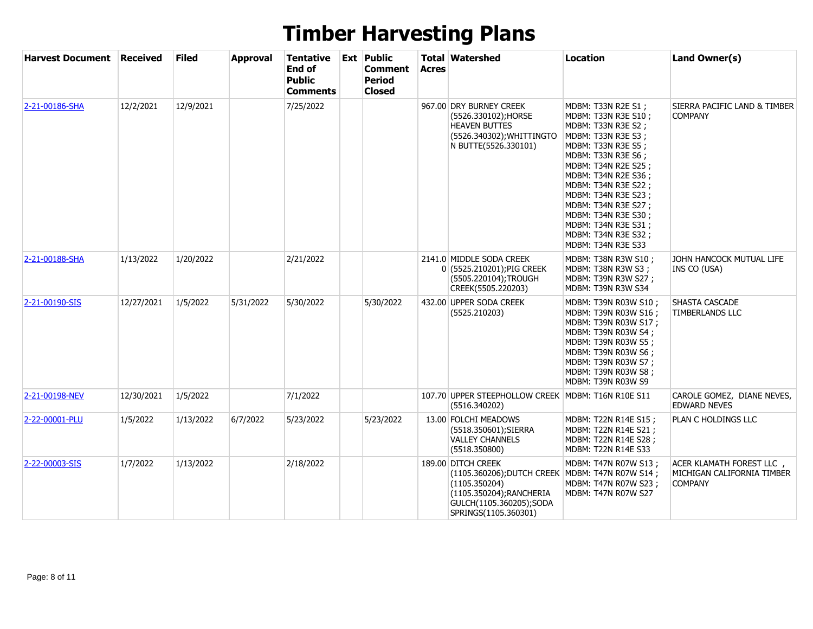| <b>Harvest Document</b> | <b>Received</b> | <b>Filed</b> | <b>Approval</b> | Tentative<br>End of<br><b>Public</b><br>Comments | <b>Ext Public</b><br>Comment<br><b>Period</b><br><b>Closed</b> | <b>Acres</b> | <b>Total Watershed</b>                                                                                                                                                 | Location                                                                                                                                                                                                                                                                                                                                             | Land Owner(s)                                                            |
|-------------------------|-----------------|--------------|-----------------|--------------------------------------------------|----------------------------------------------------------------|--------------|------------------------------------------------------------------------------------------------------------------------------------------------------------------------|------------------------------------------------------------------------------------------------------------------------------------------------------------------------------------------------------------------------------------------------------------------------------------------------------------------------------------------------------|--------------------------------------------------------------------------|
| 2-21-00186-SHA          | 12/2/2021       | 12/9/2021    |                 | 7/25/2022                                        |                                                                |              | 967.00 DRY BURNEY CREEK<br>(5526.330102);HORSE<br><b>HEAVEN BUTTES</b><br>(5526.340302); WHITTINGTO<br>N BUTTE(5526.330101)                                            | MDBM: T33N R2E S1;<br>MDBM: T33N R3E S10;<br>MDBM: T33N R3E S2;<br>MDBM: T33N R3E S3;<br>MDBM: T33N R3E S5;<br>MDBM: T33N R3E S6 ;<br>MDBM: T34N R2E S25;<br>MDBM: T34N R2E S36 ;<br>MDBM: T34N R3E S22 ;<br>MDBM: T34N R3E S23;<br>MDBM: T34N R3E S27 ;<br>MDBM: T34N R3E S30;<br>MDBM: T34N R3E S31 ;<br>MDBM: T34N R3E S32;<br>MDBM: T34N R3E S33 | SIERRA PACIFIC LAND & TIMBER<br><b>COMPANY</b>                           |
| 2-21-00188-SHA          | 1/13/2022       | 1/20/2022    |                 | 2/21/2022                                        |                                                                |              | 2141.0 MIDDLE SODA CREEK<br>0 (5525.210201); PIG CREEK<br>(5505.220104);TROUGH<br>CREEK(5505.220203)                                                                   | MDBM: T38N R3W S10;<br>MDBM: T38N R3W S3;<br>MDBM: T39N R3W S27 ;<br>MDBM: T39N R3W S34                                                                                                                                                                                                                                                              | JOHN HANCOCK MUTUAL LIFE<br><b>INS CO (USA)</b>                          |
| 2-21-00190-SIS          | 12/27/2021      | 1/5/2022     | 5/31/2022       | 5/30/2022                                        | 5/30/2022                                                      |              | 432.00 UPPER SODA CREEK<br>(5525.210203)                                                                                                                               | MDBM: T39N R03W S10 ;<br>MDBM: T39N R03W S16;<br>MDBM: T39N R03W S17 ;<br>MDBM: T39N R03W S4;<br>MDBM: T39N R03W S5 ;<br>MDBM: T39N R03W S6;<br>MDBM: T39N R03W S7;<br>MDBM: T39N R03W S8 ;<br><b>MDBM: T39N R03W S9</b>                                                                                                                             | SHASTA CASCADE<br>TIMBERLANDS LLC                                        |
| 2-21-00198-NEV          | 12/30/2021      | 1/5/2022     |                 | 7/1/2022                                         |                                                                |              | 107.70 UPPER STEEPHOLLOW CREEK<br>(5516.340202)                                                                                                                        | <b>MDBM: T16N R10E S11</b>                                                                                                                                                                                                                                                                                                                           | CAROLE GOMEZ, DIANE NEVES,<br><b>EDWARD NEVES</b>                        |
| 2-22-00001-PLU          | 1/5/2022        | 1/13/2022    | 6/7/2022        | 5/23/2022                                        | 5/23/2022                                                      |              | 13.00 FOLCHI MEADOWS<br>(5518.350601); SIERRA<br><b>VALLEY CHANNELS</b><br>(5518.350800)                                                                               | MDBM: T22N R14E S15 ;<br>MDBM: T22N R14E S21 ;<br>MDBM: T22N R14E S28;<br>MDBM: T22N R14E S33                                                                                                                                                                                                                                                        | PLAN C HOLDINGS LLC                                                      |
| 2-22-00003-SIS          | 1/7/2022        | 1/13/2022    |                 | 2/18/2022                                        |                                                                |              | 189.00 DITCH CREEK<br>(1105.360206); DUTCH CREEK MDBM: T47N R07W S14 ;<br>(1105.350204)<br>(1105.350204); RANCHERIA<br>GULCH(1105.360205);SODA<br>SPRINGS(1105.360301) | MDBM: T47N R07W S13;<br>MDBM: T47N R07W S23;<br>MDBM: T47N R07W S27                                                                                                                                                                                                                                                                                  | ACER KLAMATH FOREST LLC,<br>MICHIGAN CALIFORNIA TIMBER<br><b>COMPANY</b> |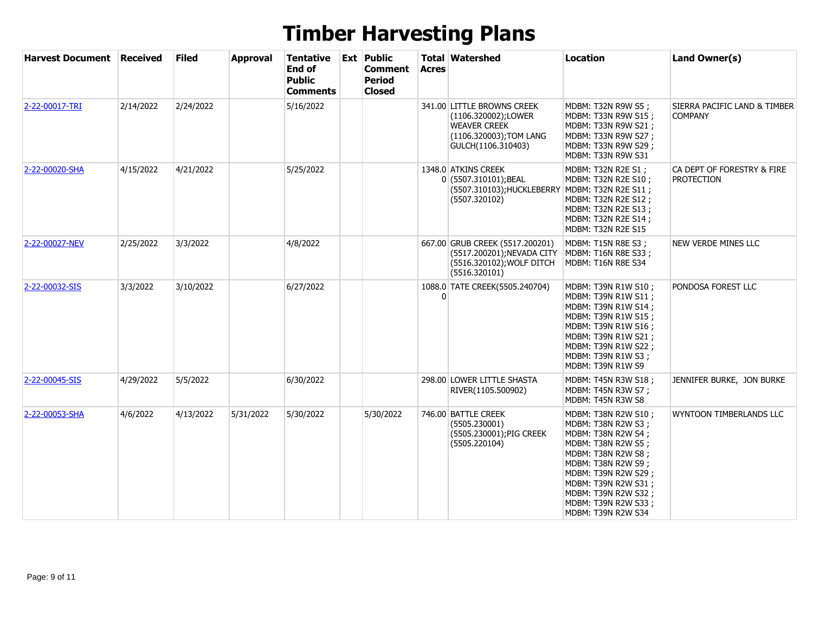| <b>Harvest Document</b> | <b>Received</b> | <b>Filed</b> | <b>Approval</b> | Tentative<br>End of<br><b>Public</b><br><b>Comments</b> | <b>Ext Public</b><br><b>Comment</b><br><b>Period</b><br><b>Closed</b> | <b>Acres</b> | <b>Total Watershed</b>                                                                                                    | <b>Location</b>                                                                                                                                                                                                                                      | Land Owner(s)                                   |
|-------------------------|-----------------|--------------|-----------------|---------------------------------------------------------|-----------------------------------------------------------------------|--------------|---------------------------------------------------------------------------------------------------------------------------|------------------------------------------------------------------------------------------------------------------------------------------------------------------------------------------------------------------------------------------------------|-------------------------------------------------|
| 2-22-00017-TRI          | 2/14/2022       | 2/24/2022    |                 | 5/16/2022                                               |                                                                       |              | 341.00 LITTLE BROWNS CREEK<br>(1106.320002);LOWER<br><b>WEAVER CREEK</b><br>(1106.320003); TOM LANG<br>GULCH(1106.310403) | MDBM: T32N R9W S5;<br>MDBM: T33N R9W S15 ;<br>MDBM: T33N R9W S21;<br>MDBM: T33N R9W S27 ;<br>MDBM: T33N R9W S29;<br>MDBM: T33N R9W S31                                                                                                               | SIERRA PACIFIC LAND & TIMBER<br><b>COMPANY</b>  |
| 2-22-00020-SHA          | 4/15/2022       | 4/21/2022    |                 | 5/25/2022                                               |                                                                       |              | 1348.0 ATKINS CREEK<br>0 (5507.310101); BEAL<br>(5507.310103); HUCKLEBERRY<br>(5507.320102)                               | MDBM: T32N R2E S1;<br>MDBM: T32N R2E S10 ;<br>MDBM: T32N R2E S11;<br>MDBM: T32N R2E S12;<br>MDBM: T32N R2E S13 ;<br>MDBM: T32N R2E S14;<br>MDBM: T32N R2E S15                                                                                        | CA DEPT OF FORESTRY & FIRE<br><b>PROTECTION</b> |
| 2-22-00027-NEV          | 2/25/2022       | 3/3/2022     |                 | 4/8/2022                                                |                                                                       |              | 667.00 GRUB CREEK (5517.200201)<br>(5517.200201); NEVADA CITY<br>(5516.320102); WOLF DITCH<br>(5516.320101)               | MDBM: T15N R8E S3;<br>MDBM: T16N R8E S33;<br>MDBM: T16N R8E S34                                                                                                                                                                                      | NEW VERDE MINES LLC                             |
| 2-22-00032-SIS          | 3/3/2022        | 3/10/2022    |                 | 6/27/2022                                               |                                                                       |              | 1088.0 TATE CREEK(5505.240704)                                                                                            | MDBM: T39N R1W S10 ;<br>MDBM: T39N R1W S11;<br>MDBM: T39N R1W S14;<br>MDBM: T39N R1W S15 ;<br>MDBM: T39N R1W S16;<br>MDBM: T39N R1W S21 ;<br>MDBM: T39N R1W S22;<br>MDBM: T39N R1W S3;<br>MDBM: T39N R1W S9                                          | PONDOSA FOREST LLC                              |
| 2-22-00045-SIS          | 4/29/2022       | 5/5/2022     |                 | 6/30/2022                                               |                                                                       |              | 298.00 LOWER LITTLE SHASTA<br>RIVER(1105.500902)                                                                          | MDBM: T45N R3W S18;<br>MDBM: T45N R3W S7;<br>MDBM: T45N R3W S8                                                                                                                                                                                       | JENNIFER BURKE, JON BURKE                       |
| 2-22-00053-SHA          | 4/6/2022        | 4/13/2022    | 5/31/2022       | 5/30/2022                                               | 5/30/2022                                                             |              | 746.00 BATTLE CREEK<br>(5505.230001)<br>(5505.230001);PIG CREEK<br>(5505.220104)                                          | MDBM: T38N R2W S10 ;<br>MDBM: T38N R2W S3;<br>MDBM: T38N R2W S4;<br>MDBM: T38N R2W S5;<br>MDBM: T38N R2W S8;<br>MDBM: T38N R2W S9;<br>MDBM: T39N R2W S29;<br>MDBM: T39N R2W S31;<br>MDBM: T39N R2W S32;<br>MDBM: T39N R2W S33;<br>MDBM: T39N R2W S34 | WYNTOON TIMBERLANDS LLC                         |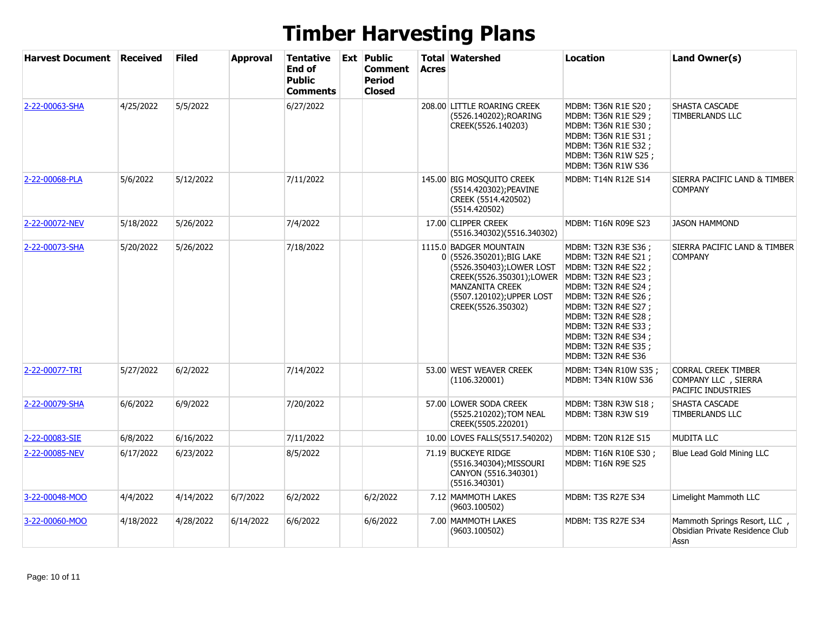| <b>Harvest Document Received</b> |           | <b>Filed</b> | <b>Approval</b> | <b>Tentative</b><br>End of<br><b>Public</b><br>Comments | <b>Ext Public</b><br>Comment<br><b>Period</b><br><b>Closed</b> | <b>Acres</b> | <b>Total Watershed</b>                                                                                                                                                                   | <b>Location</b>                                                                                                                                                                                                                                                                 | Land Owner(s)                                                            |
|----------------------------------|-----------|--------------|-----------------|---------------------------------------------------------|----------------------------------------------------------------|--------------|------------------------------------------------------------------------------------------------------------------------------------------------------------------------------------------|---------------------------------------------------------------------------------------------------------------------------------------------------------------------------------------------------------------------------------------------------------------------------------|--------------------------------------------------------------------------|
| 2-22-00063-SHA                   | 4/25/2022 | 5/5/2022     |                 | 6/27/2022                                               |                                                                |              | 208.00 LITTLE ROARING CREEK<br>(5526.140202);ROARING<br>CREEK(5526.140203)                                                                                                               | MDBM: T36N R1E S20;<br>MDBM: T36N R1E S29 ;<br>MDBM: T36N R1E S30 ;<br>MDBM: T36N R1E S31;<br>MDBM: T36N R1E S32;<br>MDBM: T36N R1W S25;<br>MDBM: T36N R1W S36                                                                                                                  | <b>SHASTA CASCADE</b><br>TIMBERLANDS LLC                                 |
| 2-22-00068-PLA                   | 5/6/2022  | 5/12/2022    |                 | 7/11/2022                                               |                                                                |              | 145.00 BIG MOSQUITO CREEK<br>(5514.420302); PEAVINE<br>CREEK (5514.420502)<br>(5514.420502)                                                                                              | MDBM: T14N R12E S14                                                                                                                                                                                                                                                             | SIERRA PACIFIC LAND & TIMBER<br><b>COMPANY</b>                           |
| 2-22-00072-NEV                   | 5/18/2022 | 5/26/2022    |                 | 7/4/2022                                                |                                                                |              | 17.00 CLIPPER CREEK<br>(5516.340302)(5516.340302)                                                                                                                                        | MDBM: T16N R09E S23                                                                                                                                                                                                                                                             | <b>JASON HAMMOND</b>                                                     |
| 2-22-00073-SHA                   | 5/20/2022 | 5/26/2022    |                 | 7/18/2022                                               |                                                                |              | 1115.0 BADGER MOUNTAIN<br>0 (5526.350201); BIG LAKE<br>(5526.350403);LOWER LOST<br>CREEK(5526.350301);LOWER<br><b>MANZANITA CREEK</b><br>(5507.120102); UPPER LOST<br>CREEK(5526.350302) | MDBM: T32N R3E S36;<br>MDBM: T32N R4E S21;<br>MDBM: T32N R4E S22;<br>MDBM: T32N R4E S23;<br>MDBM: T32N R4E S24;<br>MDBM: T32N R4E S26;<br>MDBM: T32N R4E S27;<br>MDBM: T32N R4E S28;<br>MDBM: T32N R4E S33;<br>MDBM: T32N R4E S34;<br>MDBM: T32N R4E S35;<br>MDBM: T32N R4E S36 | SIERRA PACIFIC LAND & TIMBER<br><b>COMPANY</b>                           |
| 2-22-00077-TRI                   | 5/27/2022 | 6/2/2022     |                 | 7/14/2022                                               |                                                                |              | 53.00 WEST WEAVER CREEK<br>(1106.320001)                                                                                                                                                 | MDBM: T34N R10W S35 ;<br>MDBM: T34N R10W S36                                                                                                                                                                                                                                    | <b>CORRAL CREEK TIMBER</b><br>COMPANY LLC , SIERRA<br>PACIFIC INDUSTRIES |
| 2-22-00079-SHA                   | 6/6/2022  | 6/9/2022     |                 | 7/20/2022                                               |                                                                |              | 57.00 LOWER SODA CREEK<br>(5525.210202); TOM NEAL<br>CREEK(5505.220201)                                                                                                                  | MDBM: T38N R3W S18;<br><b>MDBM: T38N R3W S19</b>                                                                                                                                                                                                                                | SHASTA CASCADE<br><b>TIMBERLANDS LLC</b>                                 |
| 2-22-00083-SIE                   | 6/8/2022  | 6/16/2022    |                 | 7/11/2022                                               |                                                                |              | 10.00 LOVES FALLS(5517.540202)                                                                                                                                                           | MDBM: T20N R12E S15                                                                                                                                                                                                                                                             | <b>MUDITA LLC</b>                                                        |
| 2-22-00085-NEV                   | 6/17/2022 | 6/23/2022    |                 | 8/5/2022                                                |                                                                |              | 71.19 BUCKEYE RIDGE<br>(5516.340304); MISSOURI<br>CANYON (5516.340301)<br>(5516.340301)                                                                                                  | MDBM: T16N R10E S30;<br><b>MDBM: T16N R9E S25</b>                                                                                                                                                                                                                               | Blue Lead Gold Mining LLC                                                |
| 3-22-00048-MOO                   | 4/4/2022  | 4/14/2022    | 6/7/2022        | 6/2/2022                                                | 6/2/2022                                                       |              | 7.12 MAMMOTH LAKES<br>(9603.100502)                                                                                                                                                      | MDBM: T3S R27E S34                                                                                                                                                                                                                                                              | Limelight Mammoth LLC                                                    |
| 3-22-00060-MOO                   | 4/18/2022 | 4/28/2022    | 6/14/2022       | 6/6/2022                                                | 6/6/2022                                                       |              | 7.00 MAMMOTH LAKES<br>(9603.100502)                                                                                                                                                      | MDBM: T3S R27E S34                                                                                                                                                                                                                                                              | Mammoth Springs Resort, LLC,<br>Obsidian Private Residence Club<br>Assn  |